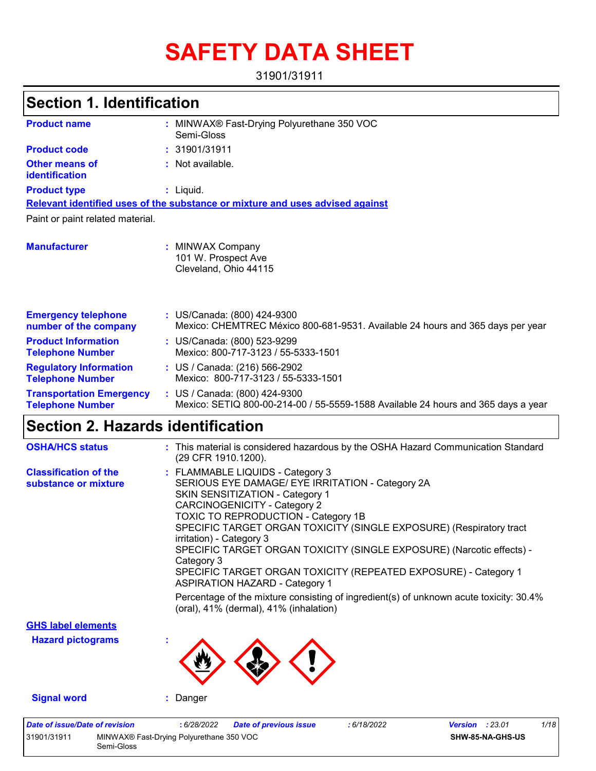# **SAFETY DATA SHEET**

31901/31911

#### MINWAX® Fast-Drying Polyurethane 350 VOC **:** Semi-Gloss Not available. **:** Liquid. **:** US/Canada: (800) 424-9300 **:** Mexico: CHEMTREC México 800-681-9531. Available 24 hours and 365 days per year **Product name Other means of identification Product type Emergency telephone number of the company Section 1. Identification Manufacturer :** MINWAX Company 101 W. Prospect Ave Cleveland, Ohio 44115 **Relevant identified uses of the substance or mixture and uses advised against** Paint or paint related material. **Product code :** 31901/31911 **Product Information Telephone Number :** US/Canada: (800) 523-9299 Mexico: 800-717-3123 / 55-5333-1501 **Regulatory Information Telephone Number :** US / Canada: (216) 566-2902 Mexico: 800-717-3123 / 55-5333-1501 **Transportation Emergency Telephone Number :** US / Canada: (800) 424-9300 Mexico: SETIQ 800-00-214-00 / 55-5559-1588 Available 24 hours and 365 days a year

### **Section 2. Hazards identification**

Semi-Gloss

| <b>OSHA/HCS status</b>                               | : This material is considered hazardous by the OSHA Hazard Communication Standard<br>(29 CFR 1910.1200).                                                                                                                                                                                                                                                                                                                                                                                                                                                                                                                                                  |
|------------------------------------------------------|-----------------------------------------------------------------------------------------------------------------------------------------------------------------------------------------------------------------------------------------------------------------------------------------------------------------------------------------------------------------------------------------------------------------------------------------------------------------------------------------------------------------------------------------------------------------------------------------------------------------------------------------------------------|
| <b>Classification of the</b><br>substance or mixture | : FLAMMABLE LIQUIDS - Category 3<br>SERIOUS EYE DAMAGE/ EYE IRRITATION - Category 2A<br><b>SKIN SENSITIZATION - Category 1</b><br><b>CARCINOGENICITY - Category 2</b><br>TOXIC TO REPRODUCTION - Category 1B<br>SPECIFIC TARGET ORGAN TOXICITY (SINGLE EXPOSURE) (Respiratory tract<br>irritation) - Category 3<br>SPECIFIC TARGET ORGAN TOXICITY (SINGLE EXPOSURE) (Narcotic effects) -<br>Category 3<br>SPECIFIC TARGET ORGAN TOXICITY (REPEATED EXPOSURE) - Category 1<br><b>ASPIRATION HAZARD - Category 1</b><br>Percentage of the mixture consisting of ingredient(s) of unknown acute toxicity: $30.4\%$<br>(oral), 41% (dermal), 41% (inhalation) |
| <b>GHS label elements</b>                            |                                                                                                                                                                                                                                                                                                                                                                                                                                                                                                                                                                                                                                                           |
| <b>Hazard pictograms</b>                             |                                                                                                                                                                                                                                                                                                                                                                                                                                                                                                                                                                                                                                                           |
| <b>Signal word</b>                                   | : Danger                                                                                                                                                                                                                                                                                                                                                                                                                                                                                                                                                                                                                                                  |
| <b>Date of issue/Date of revision</b><br>31901/31911 | <b>Version : 23.01</b><br>1/18<br>: 6/28/2022<br><b>Date of previous issue</b><br>: 6/18/2022<br>MINWAX® Fast-Drying Polyurethane 350 VOC<br>SHW-85-NA-GHS-US                                                                                                                                                                                                                                                                                                                                                                                                                                                                                             |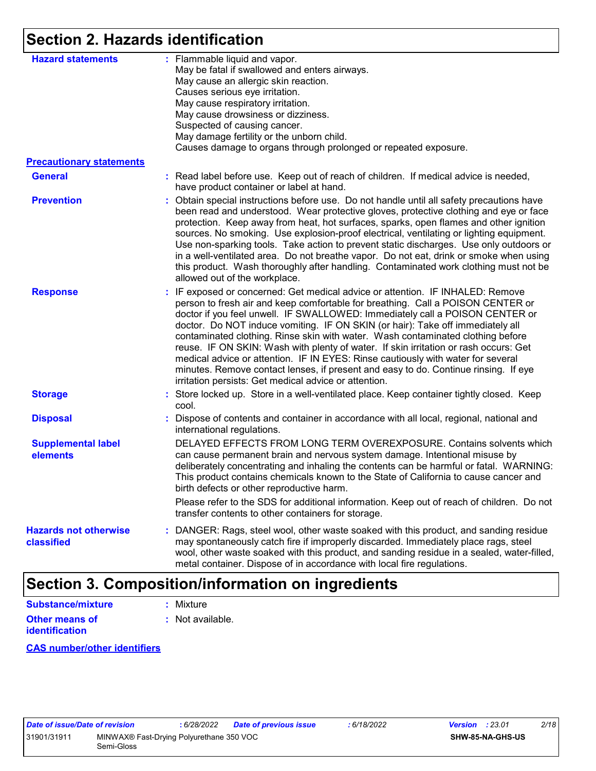### **Section 2. Hazards identification**

| <b>Hazard statements</b>                   | : Flammable liquid and vapor.<br>May be fatal if swallowed and enters airways.<br>May cause an allergic skin reaction.<br>Causes serious eye irritation.<br>May cause respiratory irritation.<br>May cause drowsiness or dizziness.<br>Suspected of causing cancer.<br>May damage fertility or the unborn child.<br>Causes damage to organs through prolonged or repeated exposure.                                                                                                                                                                                                                                                                                                                                                                |
|--------------------------------------------|----------------------------------------------------------------------------------------------------------------------------------------------------------------------------------------------------------------------------------------------------------------------------------------------------------------------------------------------------------------------------------------------------------------------------------------------------------------------------------------------------------------------------------------------------------------------------------------------------------------------------------------------------------------------------------------------------------------------------------------------------|
| <b>Precautionary statements</b>            |                                                                                                                                                                                                                                                                                                                                                                                                                                                                                                                                                                                                                                                                                                                                                    |
| <b>General</b>                             | : Read label before use. Keep out of reach of children. If medical advice is needed,<br>have product container or label at hand.                                                                                                                                                                                                                                                                                                                                                                                                                                                                                                                                                                                                                   |
| <b>Prevention</b>                          | : Obtain special instructions before use. Do not handle until all safety precautions have<br>been read and understood. Wear protective gloves, protective clothing and eye or face<br>protection. Keep away from heat, hot surfaces, sparks, open flames and other ignition<br>sources. No smoking. Use explosion-proof electrical, ventilating or lighting equipment.<br>Use non-sparking tools. Take action to prevent static discharges. Use only outdoors or<br>in a well-ventilated area. Do not breathe vapor. Do not eat, drink or smoke when using<br>this product. Wash thoroughly after handling. Contaminated work clothing must not be<br>allowed out of the workplace.                                                                |
| <b>Response</b>                            | : IF exposed or concerned: Get medical advice or attention. IF INHALED: Remove<br>person to fresh air and keep comfortable for breathing. Call a POISON CENTER or<br>doctor if you feel unwell. IF SWALLOWED: Immediately call a POISON CENTER or<br>doctor. Do NOT induce vomiting. IF ON SKIN (or hair): Take off immediately all<br>contaminated clothing. Rinse skin with water. Wash contaminated clothing before<br>reuse. IF ON SKIN: Wash with plenty of water. If skin irritation or rash occurs: Get<br>medical advice or attention. IF IN EYES: Rinse cautiously with water for several<br>minutes. Remove contact lenses, if present and easy to do. Continue rinsing. If eye<br>irritation persists: Get medical advice or attention. |
| <b>Storage</b>                             | Store locked up. Store in a well-ventilated place. Keep container tightly closed. Keep<br>cool.                                                                                                                                                                                                                                                                                                                                                                                                                                                                                                                                                                                                                                                    |
| <b>Disposal</b>                            | : Dispose of contents and container in accordance with all local, regional, national and<br>international regulations.                                                                                                                                                                                                                                                                                                                                                                                                                                                                                                                                                                                                                             |
| <b>Supplemental label</b><br>elements      | DELAYED EFFECTS FROM LONG TERM OVEREXPOSURE. Contains solvents which<br>can cause permanent brain and nervous system damage. Intentional misuse by<br>deliberately concentrating and inhaling the contents can be harmful or fatal. WARNING:<br>This product contains chemicals known to the State of California to cause cancer and<br>birth defects or other reproductive harm.                                                                                                                                                                                                                                                                                                                                                                  |
|                                            | Please refer to the SDS for additional information. Keep out of reach of children. Do not<br>transfer contents to other containers for storage.                                                                                                                                                                                                                                                                                                                                                                                                                                                                                                                                                                                                    |
| <b>Hazards not otherwise</b><br>classified | : DANGER: Rags, steel wool, other waste soaked with this product, and sanding residue<br>may spontaneously catch fire if improperly discarded. Immediately place rags, steel<br>wool, other waste soaked with this product, and sanding residue in a sealed, water-filled,<br>metal container. Dispose of in accordance with local fire regulations.                                                                                                                                                                                                                                                                                                                                                                                               |

### **Section 3. Composition/information on ingredients**

| Substance/mixture                       | : Mixture                   |
|-----------------------------------------|-----------------------------|
| <b>Other means of</b><br>identification | $\therefore$ Not available. |

**CAS number/other identifiers**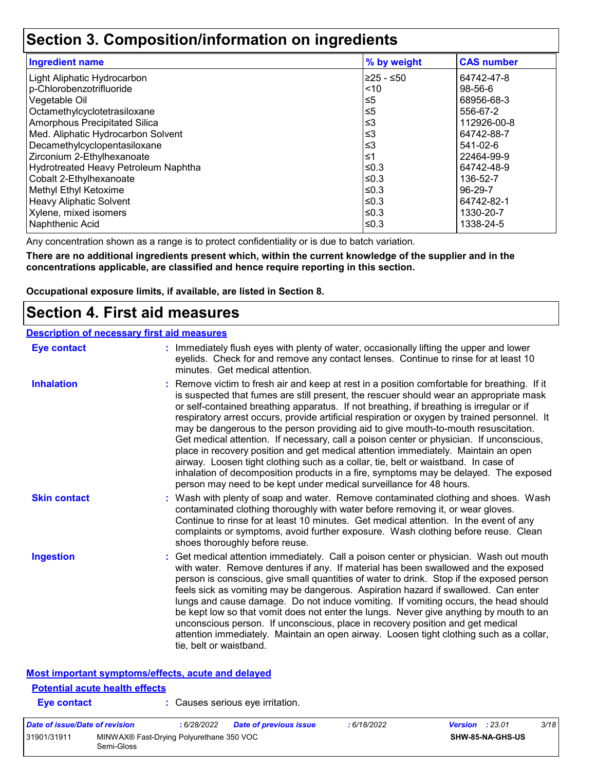### **Section 3. Composition/information on ingredients**

| <b>Ingredient name</b>               | % by weight | <b>CAS number</b> |
|--------------------------------------|-------------|-------------------|
| Light Aliphatic Hydrocarbon          | l≥25 - ≤50  | 64742-47-8        |
| p-Chlorobenzotrifluoride             | ~10         | $98 - 56 - 6$     |
| Vegetable Oil                        | $\leq 5$    | 68956-68-3        |
| Octamethylcyclotetrasiloxane         | $\leq 5$    | 556-67-2          |
| Amorphous Precipitated Silica        | $\leq$ 3    | 112926-00-8       |
| Med. Aliphatic Hydrocarbon Solvent   | $\leq$ 3    | 64742-88-7        |
| Decamethylcyclopentasiloxane         | ≤3          | 541-02-6          |
| Zirconium 2-Ethylhexanoate           | ≤1          | 22464-99-9        |
| Hydrotreated Heavy Petroleum Naphtha | ≤0.3        | 64742-48-9        |
| Cobalt 2-Ethylhexanoate              | ≤0.3        | 136-52-7          |
| Methyl Ethyl Ketoxime                | ≤0.3        | 96-29-7           |
| <b>Heavy Aliphatic Solvent</b>       | ≤0.3        | 64742-82-1        |
| Xylene, mixed isomers                | ≤0.3        | 1330-20-7         |
| Naphthenic Acid                      | l≤0.3       | 1338-24-5         |

Any concentration shown as a range is to protect confidentiality or is due to batch variation.

**There are no additional ingredients present which, within the current knowledge of the supplier and in the concentrations applicable, are classified and hence require reporting in this section.**

**Occupational exposure limits, if available, are listed in Section 8.**

### **Section 4. First aid measures**

| <b>Description of necessary first aid measures</b> |                                                                                                                                                                                                                                                                                                                                                                                                                                                                                                                                                                                                                                                                                                                                                                                                                                                                                                                |
|----------------------------------------------------|----------------------------------------------------------------------------------------------------------------------------------------------------------------------------------------------------------------------------------------------------------------------------------------------------------------------------------------------------------------------------------------------------------------------------------------------------------------------------------------------------------------------------------------------------------------------------------------------------------------------------------------------------------------------------------------------------------------------------------------------------------------------------------------------------------------------------------------------------------------------------------------------------------------|
| <b>Eye contact</b>                                 | : Immediately flush eyes with plenty of water, occasionally lifting the upper and lower<br>eyelids. Check for and remove any contact lenses. Continue to rinse for at least 10<br>minutes. Get medical attention.                                                                                                                                                                                                                                                                                                                                                                                                                                                                                                                                                                                                                                                                                              |
| <b>Inhalation</b>                                  | : Remove victim to fresh air and keep at rest in a position comfortable for breathing. If it<br>is suspected that fumes are still present, the rescuer should wear an appropriate mask<br>or self-contained breathing apparatus. If not breathing, if breathing is irregular or if<br>respiratory arrest occurs, provide artificial respiration or oxygen by trained personnel. It<br>may be dangerous to the person providing aid to give mouth-to-mouth resuscitation.<br>Get medical attention. If necessary, call a poison center or physician. If unconscious,<br>place in recovery position and get medical attention immediately. Maintain an open<br>airway. Loosen tight clothing such as a collar, tie, belt or waistband. In case of<br>inhalation of decomposition products in a fire, symptoms may be delayed. The exposed<br>person may need to be kept under medical surveillance for 48 hours. |
| <b>Skin contact</b>                                | : Wash with plenty of soap and water. Remove contaminated clothing and shoes. Wash<br>contaminated clothing thoroughly with water before removing it, or wear gloves.<br>Continue to rinse for at least 10 minutes. Get medical attention. In the event of any<br>complaints or symptoms, avoid further exposure. Wash clothing before reuse. Clean<br>shoes thoroughly before reuse.                                                                                                                                                                                                                                                                                                                                                                                                                                                                                                                          |
| <b>Ingestion</b>                                   | : Get medical attention immediately. Call a poison center or physician. Wash out mouth<br>with water. Remove dentures if any. If material has been swallowed and the exposed<br>person is conscious, give small quantities of water to drink. Stop if the exposed person<br>feels sick as vomiting may be dangerous. Aspiration hazard if swallowed. Can enter<br>lungs and cause damage. Do not induce vomiting. If vomiting occurs, the head should<br>be kept low so that vomit does not enter the lungs. Never give anything by mouth to an<br>unconscious person. If unconscious, place in recovery position and get medical<br>attention immediately. Maintain an open airway. Loosen tight clothing such as a collar,<br>tie, belt or waistband.                                                                                                                                                        |

### **Most important symptoms/effects, acute and delayed**

| <b>Potential acute health effects</b> |                                          |                                  |             |                        |      |
|---------------------------------------|------------------------------------------|----------------------------------|-------------|------------------------|------|
| Eye contact                           |                                          | : Causes serious eye irritation. |             |                        |      |
| Date of issue/Date of revision        | : 6/28/2022                              | <b>Date of previous issue</b>    | : 6/18/2022 | <b>Version</b> : 23.01 | 3/18 |
| 31901/31911<br>Semi-Gloss             | MINWAX® Fast-Drying Polyurethane 350 VOC |                                  |             | SHW-85-NA-GHS-US       |      |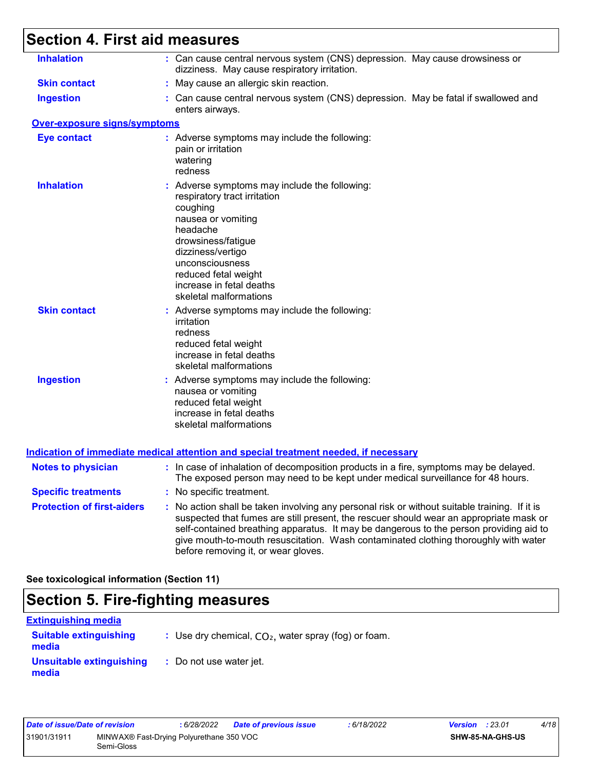# **Section 4. First aid measures**

| <b>Inhalation</b>                   | : Can cause central nervous system (CNS) depression. May cause drowsiness or                                                                                                                                                                                                                                                                                                                                    |
|-------------------------------------|-----------------------------------------------------------------------------------------------------------------------------------------------------------------------------------------------------------------------------------------------------------------------------------------------------------------------------------------------------------------------------------------------------------------|
|                                     | dizziness. May cause respiratory irritation.                                                                                                                                                                                                                                                                                                                                                                    |
| <b>Skin contact</b>                 | : May cause an allergic skin reaction.                                                                                                                                                                                                                                                                                                                                                                          |
| <b>Ingestion</b>                    | : Can cause central nervous system (CNS) depression. May be fatal if swallowed and<br>enters airways.                                                                                                                                                                                                                                                                                                           |
| <b>Over-exposure signs/symptoms</b> |                                                                                                                                                                                                                                                                                                                                                                                                                 |
| <b>Eye contact</b>                  | : Adverse symptoms may include the following:<br>pain or irritation<br>watering<br>redness                                                                                                                                                                                                                                                                                                                      |
| <b>Inhalation</b>                   | : Adverse symptoms may include the following:<br>respiratory tract irritation<br>coughing<br>nausea or vomiting<br>headache<br>drowsiness/fatigue<br>dizziness/vertigo<br>unconsciousness<br>reduced fetal weight<br>increase in fetal deaths<br>skeletal malformations                                                                                                                                         |
| <b>Skin contact</b>                 | : Adverse symptoms may include the following:<br>irritation<br>redness<br>reduced fetal weight<br>increase in fetal deaths<br>skeletal malformations                                                                                                                                                                                                                                                            |
| <b>Ingestion</b>                    | : Adverse symptoms may include the following:<br>nausea or vomiting<br>reduced fetal weight<br>increase in fetal deaths<br>skeletal malformations                                                                                                                                                                                                                                                               |
|                                     | Indication of immediate medical attention and special treatment needed, if necessary                                                                                                                                                                                                                                                                                                                            |
| <b>Notes to physician</b>           | : In case of inhalation of decomposition products in a fire, symptoms may be delayed.<br>The exposed person may need to be kept under medical surveillance for 48 hours.                                                                                                                                                                                                                                        |
| <b>Specific treatments</b>          | : No specific treatment.                                                                                                                                                                                                                                                                                                                                                                                        |
| <b>Protection of first-aiders</b>   | : No action shall be taken involving any personal risk or without suitable training. If it is<br>suspected that fumes are still present, the rescuer should wear an appropriate mask or<br>self-contained breathing apparatus. It may be dangerous to the person providing aid to<br>give mouth-to-mouth resuscitation. Wash contaminated clothing thoroughly with water<br>before removing it, or wear gloves. |

**See toxicological information (Section 11)**

### **Section 5. Fire-fighting measures**

| <b>Extinguishing media</b>             |                                                        |
|----------------------------------------|--------------------------------------------------------|
| <b>Suitable extinguishing</b><br>media | : Use dry chemical, $CO2$ , water spray (fog) or foam. |
| Unsuitable extinguishing<br>media      | : Do not use water jet.                                |

| Date of issue/Date of revision |                                                        | 6/28/2022 | <b>Date of previous issue</b> | : 6/18/2022 | <b>Version</b> : 23.01 |                         | 4/18 |
|--------------------------------|--------------------------------------------------------|-----------|-------------------------------|-------------|------------------------|-------------------------|------|
| 31901/31911                    | MINWAX® Fast-Drying Polyurethane 350 VOC<br>Semi-Gloss |           |                               |             |                        | <b>SHW-85-NA-GHS-US</b> |      |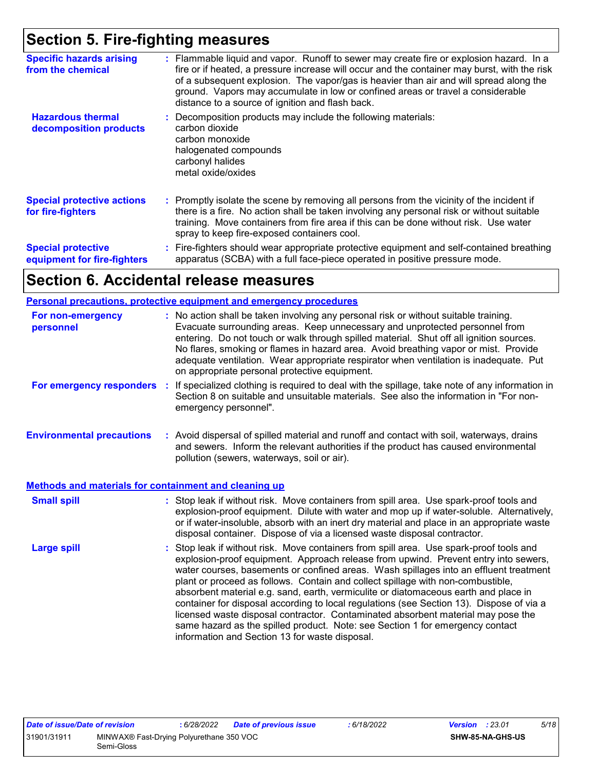### **Section 5. Fire-fighting measures**

| <b>Specific hazards arising</b><br>from the chemical     | : Flammable liquid and vapor. Runoff to sewer may create fire or explosion hazard. In a<br>fire or if heated, a pressure increase will occur and the container may burst, with the risk<br>of a subsequent explosion. The vapor/gas is heavier than air and will spread along the<br>ground. Vapors may accumulate in low or confined areas or travel a considerable<br>distance to a source of ignition and flash back. |
|----------------------------------------------------------|--------------------------------------------------------------------------------------------------------------------------------------------------------------------------------------------------------------------------------------------------------------------------------------------------------------------------------------------------------------------------------------------------------------------------|
| <b>Hazardous thermal</b><br>decomposition products       | Decomposition products may include the following materials:<br>carbon dioxide<br>carbon monoxide<br>halogenated compounds<br>carbonyl halides<br>metal oxide/oxides                                                                                                                                                                                                                                                      |
| <b>Special protective actions</b><br>for fire-fighters   | : Promptly isolate the scene by removing all persons from the vicinity of the incident if<br>there is a fire. No action shall be taken involving any personal risk or without suitable<br>training. Move containers from fire area if this can be done without risk. Use water<br>spray to keep fire-exposed containers cool.                                                                                            |
| <b>Special protective</b><br>equipment for fire-fighters | : Fire-fighters should wear appropriate protective equipment and self-contained breathing<br>apparatus (SCBA) with a full face-piece operated in positive pressure mode.                                                                                                                                                                                                                                                 |

### **Section 6. Accidental release measures**

#### **Personal precautions, protective equipment and emergency procedures**

| For non-emergency<br>personnel                               | : No action shall be taken involving any personal risk or without suitable training.<br>Evacuate surrounding areas. Keep unnecessary and unprotected personnel from<br>entering. Do not touch or walk through spilled material. Shut off all ignition sources.<br>No flares, smoking or flames in hazard area. Avoid breathing vapor or mist. Provide<br>adequate ventilation. Wear appropriate respirator when ventilation is inadequate. Put<br>on appropriate personal protective equipment.                                                                                                                                                                                                                                                                      |
|--------------------------------------------------------------|----------------------------------------------------------------------------------------------------------------------------------------------------------------------------------------------------------------------------------------------------------------------------------------------------------------------------------------------------------------------------------------------------------------------------------------------------------------------------------------------------------------------------------------------------------------------------------------------------------------------------------------------------------------------------------------------------------------------------------------------------------------------|
| For emergency responders                                     | If specialized clothing is required to deal with the spillage, take note of any information in<br>÷.<br>Section 8 on suitable and unsuitable materials. See also the information in "For non-<br>emergency personnel".                                                                                                                                                                                                                                                                                                                                                                                                                                                                                                                                               |
| <b>Environmental precautions</b>                             | : Avoid dispersal of spilled material and runoff and contact with soil, waterways, drains<br>and sewers. Inform the relevant authorities if the product has caused environmental<br>pollution (sewers, waterways, soil or air).                                                                                                                                                                                                                                                                                                                                                                                                                                                                                                                                      |
| <b>Methods and materials for containment and cleaning up</b> |                                                                                                                                                                                                                                                                                                                                                                                                                                                                                                                                                                                                                                                                                                                                                                      |
| <b>Small spill</b>                                           | : Stop leak if without risk. Move containers from spill area. Use spark-proof tools and<br>explosion-proof equipment. Dilute with water and mop up if water-soluble. Alternatively,<br>or if water-insoluble, absorb with an inert dry material and place in an appropriate waste<br>disposal container. Dispose of via a licensed waste disposal contractor.                                                                                                                                                                                                                                                                                                                                                                                                        |
| <b>Large spill</b>                                           | : Stop leak if without risk. Move containers from spill area. Use spark-proof tools and<br>explosion-proof equipment. Approach release from upwind. Prevent entry into sewers,<br>water courses, basements or confined areas. Wash spillages into an effluent treatment<br>plant or proceed as follows. Contain and collect spillage with non-combustible,<br>absorbent material e.g. sand, earth, vermiculite or diatomaceous earth and place in<br>container for disposal according to local regulations (see Section 13). Dispose of via a<br>licensed waste disposal contractor. Contaminated absorbent material may pose the<br>same hazard as the spilled product. Note: see Section 1 for emergency contact<br>information and Section 13 for waste disposal. |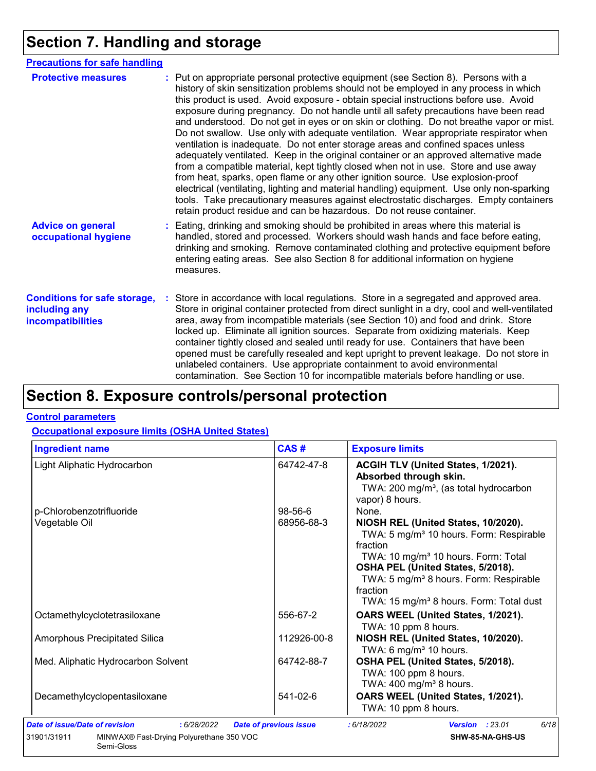## **Section 7. Handling and storage**

| <b>Precautions for safe handling</b>                                      |                                                                                                                                                                                                                                                                                                                                                                                                                                                                                                                                                                                                                                                                                                                                                                                                                                                                                                                                                                                                                                                                                                                                                                      |
|---------------------------------------------------------------------------|----------------------------------------------------------------------------------------------------------------------------------------------------------------------------------------------------------------------------------------------------------------------------------------------------------------------------------------------------------------------------------------------------------------------------------------------------------------------------------------------------------------------------------------------------------------------------------------------------------------------------------------------------------------------------------------------------------------------------------------------------------------------------------------------------------------------------------------------------------------------------------------------------------------------------------------------------------------------------------------------------------------------------------------------------------------------------------------------------------------------------------------------------------------------|
| <b>Protective measures</b>                                                | : Put on appropriate personal protective equipment (see Section 8). Persons with a<br>history of skin sensitization problems should not be employed in any process in which<br>this product is used. Avoid exposure - obtain special instructions before use. Avoid<br>exposure during pregnancy. Do not handle until all safety precautions have been read<br>and understood. Do not get in eyes or on skin or clothing. Do not breathe vapor or mist.<br>Do not swallow. Use only with adequate ventilation. Wear appropriate respirator when<br>ventilation is inadequate. Do not enter storage areas and confined spaces unless<br>adequately ventilated. Keep in the original container or an approved alternative made<br>from a compatible material, kept tightly closed when not in use. Store and use away<br>from heat, sparks, open flame or any other ignition source. Use explosion-proof<br>electrical (ventilating, lighting and material handling) equipment. Use only non-sparking<br>tools. Take precautionary measures against electrostatic discharges. Empty containers<br>retain product residue and can be hazardous. Do not reuse container. |
| <b>Advice on general</b><br>occupational hygiene                          | : Eating, drinking and smoking should be prohibited in areas where this material is<br>handled, stored and processed. Workers should wash hands and face before eating,<br>drinking and smoking. Remove contaminated clothing and protective equipment before<br>entering eating areas. See also Section 8 for additional information on hygiene<br>measures.                                                                                                                                                                                                                                                                                                                                                                                                                                                                                                                                                                                                                                                                                                                                                                                                        |
| <b>Conditions for safe storage,</b><br>including any<br>incompatibilities | : Store in accordance with local regulations. Store in a segregated and approved area.<br>Store in original container protected from direct sunlight in a dry, cool and well-ventilated<br>area, away from incompatible materials (see Section 10) and food and drink. Store<br>locked up. Eliminate all ignition sources. Separate from oxidizing materials. Keep<br>container tightly closed and sealed until ready for use. Containers that have been<br>opened must be carefully resealed and kept upright to prevent leakage. Do not store in<br>unlabeled containers. Use appropriate containment to avoid environmental<br>contamination. See Section 10 for incompatible materials before handling or use.                                                                                                                                                                                                                                                                                                                                                                                                                                                   |

### **Section 8. Exposure controls/personal protection**

#### **Control parameters**

#### **Occupational exposure limits (OSHA United States)**

Semi-Gloss

| <b>Ingredient name</b>                                  | CAS#                          | <b>Exposure limits</b>                                                                                                                                                                                                                                                                                                  |
|---------------------------------------------------------|-------------------------------|-------------------------------------------------------------------------------------------------------------------------------------------------------------------------------------------------------------------------------------------------------------------------------------------------------------------------|
| Light Aliphatic Hydrocarbon                             | 64742-47-8                    | ACGIH TLV (United States, 1/2021).<br>Absorbed through skin.<br>TWA: 200 mg/m <sup>3</sup> , (as total hydrocarbon<br>vapor) 8 hours.                                                                                                                                                                                   |
| p-Chlorobenzotrifluoride                                | $98 - 56 - 6$                 | None.                                                                                                                                                                                                                                                                                                                   |
| Vegetable Oil                                           | 68956-68-3                    | NIOSH REL (United States, 10/2020).<br>TWA: 5 mg/m <sup>3</sup> 10 hours. Form: Respirable<br>fraction<br>TWA: 10 mg/m <sup>3</sup> 10 hours. Form: Total<br>OSHA PEL (United States, 5/2018).<br>TWA: 5 mg/m <sup>3</sup> 8 hours. Form: Respirable<br>fraction<br>TWA: 15 mg/m <sup>3</sup> 8 hours. Form: Total dust |
| Octamethylcyclotetrasiloxane                            | 556-67-2                      | OARS WEEL (United States, 1/2021).<br>TWA: 10 ppm 8 hours.                                                                                                                                                                                                                                                              |
| <b>Amorphous Precipitated Silica</b>                    | 112926-00-8                   | NIOSH REL (United States, 10/2020).<br>TWA: 6 mg/m <sup>3</sup> 10 hours.                                                                                                                                                                                                                                               |
| Med. Aliphatic Hydrocarbon Solvent                      | 64742-88-7                    | OSHA PEL (United States, 5/2018).<br>TWA: 100 ppm 8 hours.<br>TWA: $400 \text{ mg/m}^3$ 8 hours.                                                                                                                                                                                                                        |
| Decamethylcyclopentasiloxane                            | 541-02-6                      | OARS WEEL (United States, 1/2021).<br>TWA: 10 ppm 8 hours.                                                                                                                                                                                                                                                              |
| Date of issue/Date of revision<br>: 6/28/2022           | <b>Date of previous issue</b> | 6/18<br>: 6/18/2022<br><b>Version : 23.01</b>                                                                                                                                                                                                                                                                           |
| MINWAX® Fast-Drying Polyurethane 350 VOC<br>31901/31911 |                               | SHW-85-NA-GHS-US                                                                                                                                                                                                                                                                                                        |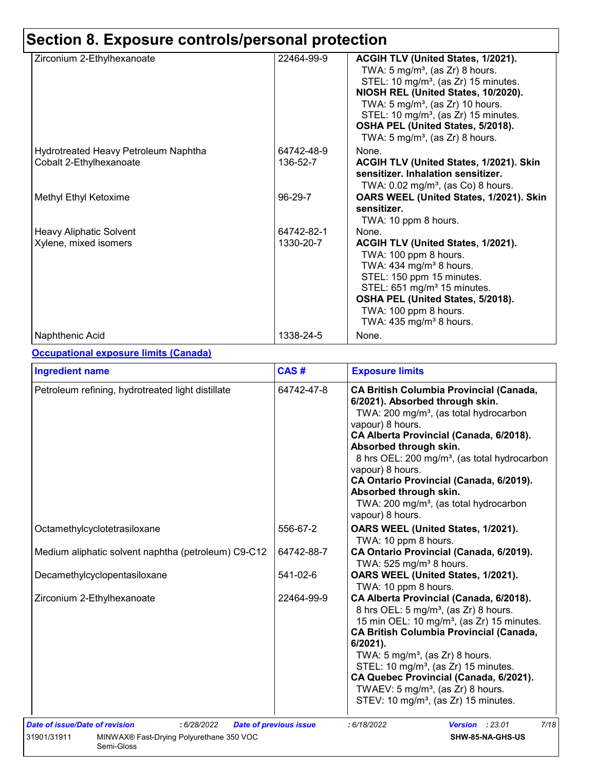# **Section 8. Exposure controls/personal protection**

| Zirconium 2-Ethylhexanoate           | 22464-99-9 | ACGIH TLV (United States, 1/2021).<br>TWA: $5 \text{ mg/m}^3$ , (as Zr) 8 hours.<br>STEL: 10 mg/m <sup>3</sup> , (as Zr) 15 minutes.<br>NIOSH REL (United States, 10/2020).<br>TWA: $5 \text{ mg/m}^3$ , (as Zr) 10 hours.<br>STEL: 10 mg/m <sup>3</sup> , (as Zr) 15 minutes.<br>OSHA PEL (United States, 5/2018).<br>TWA: 5 mg/m <sup>3</sup> , (as Zr) 8 hours. |
|--------------------------------------|------------|--------------------------------------------------------------------------------------------------------------------------------------------------------------------------------------------------------------------------------------------------------------------------------------------------------------------------------------------------------------------|
| Hydrotreated Heavy Petroleum Naphtha | 64742-48-9 | None.                                                                                                                                                                                                                                                                                                                                                              |
| Cobalt 2-Ethylhexanoate              | 136-52-7   | <b>ACGIH TLV (United States, 1/2021). Skin</b><br>sensitizer. Inhalation sensitizer.<br>TWA: $0.02$ mg/m <sup>3</sup> , (as Co) 8 hours.                                                                                                                                                                                                                           |
| Methyl Ethyl Ketoxime                | 96-29-7    | OARS WEEL (United States, 1/2021). Skin<br>sensitizer.<br>TWA: 10 ppm 8 hours.                                                                                                                                                                                                                                                                                     |
| <b>Heavy Aliphatic Solvent</b>       | 64742-82-1 | None.                                                                                                                                                                                                                                                                                                                                                              |
| Xylene, mixed isomers                | 1330-20-7  | ACGIH TLV (United States, 1/2021).<br>TWA: 100 ppm 8 hours.<br>TWA: $434$ mg/m <sup>3</sup> 8 hours.<br>STEL: 150 ppm 15 minutes.<br>STEL: 651 mg/m <sup>3</sup> 15 minutes.<br>OSHA PEL (United States, 5/2018).<br>TWA: 100 ppm 8 hours.<br>TWA: $435 \text{ mg/m}^3$ 8 hours.                                                                                   |
| Naphthenic Acid                      | 1338-24-5  | None.                                                                                                                                                                                                                                                                                                                                                              |

#### **Occupational exposure limits (Canada)**

| <b>Ingredient name</b>                                                                                                        | CAS#                          | <b>Exposure limits</b>                                                                                                                                                                                                                                                                                                                                                                                                                                               |  |  |  |
|-------------------------------------------------------------------------------------------------------------------------------|-------------------------------|----------------------------------------------------------------------------------------------------------------------------------------------------------------------------------------------------------------------------------------------------------------------------------------------------------------------------------------------------------------------------------------------------------------------------------------------------------------------|--|--|--|
| Petroleum refining, hydrotreated light distillate                                                                             | 64742-47-8                    | <b>CA British Columbia Provincial (Canada,</b><br>6/2021). Absorbed through skin.<br>TWA: 200 mg/m <sup>3</sup> , (as total hydrocarbon<br>vapour) 8 hours.<br>CA Alberta Provincial (Canada, 6/2018).<br>Absorbed through skin.<br>8 hrs OEL: 200 mg/m <sup>3</sup> , (as total hydrocarbon<br>vapour) 8 hours.<br>CA Ontario Provincial (Canada, 6/2019).<br>Absorbed through skin.<br>TWA: 200 mg/m <sup>3</sup> , (as total hydrocarbon<br>vapour) 8 hours.      |  |  |  |
| Octamethylcyclotetrasiloxane                                                                                                  | 556-67-2                      | OARS WEEL (United States, 1/2021).<br>TWA: 10 ppm 8 hours.                                                                                                                                                                                                                                                                                                                                                                                                           |  |  |  |
| Medium aliphatic solvent naphtha (petroleum) C9-C12                                                                           | 64742-88-7                    | CA Ontario Provincial (Canada, 6/2019).<br>TWA: 525 mg/m <sup>3</sup> 8 hours.                                                                                                                                                                                                                                                                                                                                                                                       |  |  |  |
| Decamethylcyclopentasiloxane                                                                                                  | 541-02-6                      | OARS WEEL (United States, 1/2021).<br>TWA: 10 ppm 8 hours.                                                                                                                                                                                                                                                                                                                                                                                                           |  |  |  |
| Zirconium 2-Ethylhexanoate                                                                                                    | 22464-99-9                    | CA Alberta Provincial (Canada, 6/2018).<br>8 hrs OEL: 5 mg/m <sup>3</sup> , (as Zr) 8 hours.<br>15 min OEL: 10 mg/m <sup>3</sup> , (as Zr) 15 minutes.<br><b>CA British Columbia Provincial (Canada,</b><br>6/2021).<br>TWA: $5 \text{ mg/m}^3$ , (as Zr) 8 hours.<br>STEL: 10 mg/m <sup>3</sup> , (as Zr) 15 minutes.<br>CA Quebec Provincial (Canada, 6/2021).<br>TWAEV: $5 \text{ mg/m}^3$ , (as Zr) 8 hours.<br>STEV: 10 mg/m <sup>3</sup> , (as Zr) 15 minutes. |  |  |  |
| <b>Date of issue/Date of revision</b><br>: 6/28/2022<br>31901/31911<br>MINWAX® Fast-Drying Polyurethane 350 VOC<br>Semi-Gloss | <b>Date of previous issue</b> | <b>Version : 23.01</b><br>7/18<br>: 6/18/2022<br>SHW-85-NA-GHS-US                                                                                                                                                                                                                                                                                                                                                                                                    |  |  |  |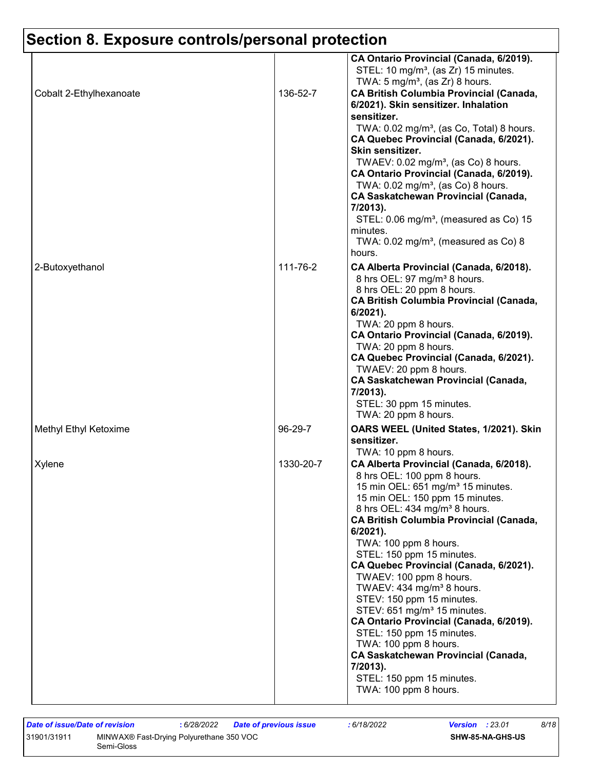# **Section 8. Exposure controls/personal protection**

| CA Ontario Provincial (Canada, 6/2019).<br>STEL: 10 mg/m <sup>3</sup> , (as Zr) 15 minutes.<br>TWA: $5 \text{ mg/m}^3$ , (as Zr) 8 hours.<br>136-52-7<br><b>CA British Columbia Provincial (Canada,</b><br>Cobalt 2-Ethylhexanoate<br>6/2021). Skin sensitizer. Inhalation<br>sensitizer.<br>TWA: 0.02 mg/m <sup>3</sup> , (as Co, Total) 8 hours.<br>CA Quebec Provincial (Canada, 6/2021).<br>Skin sensitizer.<br>TWAEV: 0.02 mg/m <sup>3</sup> , (as Co) 8 hours.<br>CA Ontario Provincial (Canada, 6/2019).<br>TWA: $0.02$ mg/m <sup>3</sup> , (as Co) 8 hours.<br><b>CA Saskatchewan Provincial (Canada,</b><br>7/2013).<br>STEL: 0.06 mg/m <sup>3</sup> , (measured as Co) 15<br>minutes.<br>TWA: $0.02$ mg/m <sup>3</sup> , (measured as Co) 8<br>hours.<br>111-76-2<br>2-Butoxyethanol<br>CA Alberta Provincial (Canada, 6/2018).<br>8 hrs OEL: 97 mg/m <sup>3</sup> 8 hours.<br>8 hrs OEL: 20 ppm 8 hours.<br><b>CA British Columbia Provincial (Canada,</b><br>6/2021).<br>TWA: 20 ppm 8 hours.<br>CA Ontario Provincial (Canada, 6/2019).<br>TWA: 20 ppm 8 hours.<br>CA Quebec Provincial (Canada, 6/2021).<br>TWAEV: 20 ppm 8 hours.<br>CA Saskatchewan Provincial (Canada,<br>7/2013).<br>STEL: 30 ppm 15 minutes.<br>TWA: 20 ppm 8 hours.<br>96-29-7<br>Methyl Ethyl Ketoxime<br>OARS WEEL (United States, 1/2021). Skin<br>sensitizer.<br>TWA: 10 ppm 8 hours.<br>1330-20-7<br>Xylene<br>CA Alberta Provincial (Canada, 6/2018).<br>8 hrs OEL: 100 ppm 8 hours.<br>15 min OEL: 651 mg/m <sup>3</sup> 15 minutes.<br>15 min OEL: 150 ppm 15 minutes.<br>8 hrs OEL: 434 mg/m <sup>3</sup> 8 hours.<br><b>CA British Columbia Provincial (Canada,</b><br>$6/2021$ ).<br>TWA: 100 ppm 8 hours.<br>STEL: 150 ppm 15 minutes.<br>CA Quebec Provincial (Canada, 6/2021).<br>TWAEV: 100 ppm 8 hours.<br>TWAEV: 434 mg/m <sup>3</sup> 8 hours.<br>STEV: 150 ppm 15 minutes.<br>STEV: 651 mg/m <sup>3</sup> 15 minutes.<br>CA Ontario Provincial (Canada, 6/2019).<br>STEL: 150 ppm 15 minutes.<br>TWA: 100 ppm 8 hours.<br><b>CA Saskatchewan Provincial (Canada,</b><br>7/2013).<br>STEL: 150 ppm 15 minutes.<br>TWA: 100 ppm 8 hours. |  |  |
|-----------------------------------------------------------------------------------------------------------------------------------------------------------------------------------------------------------------------------------------------------------------------------------------------------------------------------------------------------------------------------------------------------------------------------------------------------------------------------------------------------------------------------------------------------------------------------------------------------------------------------------------------------------------------------------------------------------------------------------------------------------------------------------------------------------------------------------------------------------------------------------------------------------------------------------------------------------------------------------------------------------------------------------------------------------------------------------------------------------------------------------------------------------------------------------------------------------------------------------------------------------------------------------------------------------------------------------------------------------------------------------------------------------------------------------------------------------------------------------------------------------------------------------------------------------------------------------------------------------------------------------------------------------------------------------------------------------------------------------------------------------------------------------------------------------------------------------------------------------------------------------------------------------------------------------------------------------------------------------------------------------------------------------------------------------------------------------------------------------------------------------------------|--|--|
|                                                                                                                                                                                                                                                                                                                                                                                                                                                                                                                                                                                                                                                                                                                                                                                                                                                                                                                                                                                                                                                                                                                                                                                                                                                                                                                                                                                                                                                                                                                                                                                                                                                                                                                                                                                                                                                                                                                                                                                                                                                                                                                                               |  |  |
|                                                                                                                                                                                                                                                                                                                                                                                                                                                                                                                                                                                                                                                                                                                                                                                                                                                                                                                                                                                                                                                                                                                                                                                                                                                                                                                                                                                                                                                                                                                                                                                                                                                                                                                                                                                                                                                                                                                                                                                                                                                                                                                                               |  |  |
|                                                                                                                                                                                                                                                                                                                                                                                                                                                                                                                                                                                                                                                                                                                                                                                                                                                                                                                                                                                                                                                                                                                                                                                                                                                                                                                                                                                                                                                                                                                                                                                                                                                                                                                                                                                                                                                                                                                                                                                                                                                                                                                                               |  |  |
|                                                                                                                                                                                                                                                                                                                                                                                                                                                                                                                                                                                                                                                                                                                                                                                                                                                                                                                                                                                                                                                                                                                                                                                                                                                                                                                                                                                                                                                                                                                                                                                                                                                                                                                                                                                                                                                                                                                                                                                                                                                                                                                                               |  |  |
|                                                                                                                                                                                                                                                                                                                                                                                                                                                                                                                                                                                                                                                                                                                                                                                                                                                                                                                                                                                                                                                                                                                                                                                                                                                                                                                                                                                                                                                                                                                                                                                                                                                                                                                                                                                                                                                                                                                                                                                                                                                                                                                                               |  |  |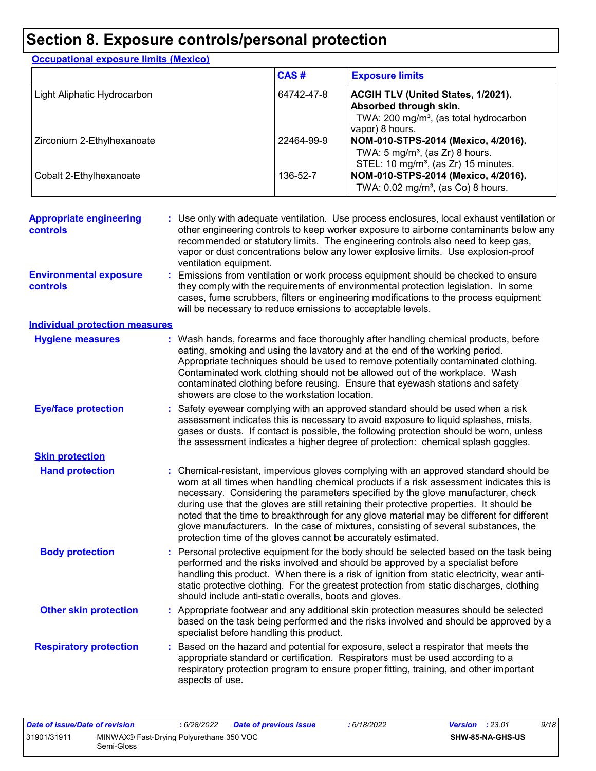### **Section 8. Exposure controls/personal protection**

| <b>Occupational exposure limits (Mexico)</b> |             |                                                                                                                                       |
|----------------------------------------------|-------------|---------------------------------------------------------------------------------------------------------------------------------------|
|                                              | <b>CAS#</b> | <b>Exposure limits</b>                                                                                                                |
| Light Aliphatic Hydrocarbon                  | 64742-47-8  | ACGIH TLV (United States, 1/2021).<br>Absorbed through skin.<br>TWA: 200 mg/m <sup>3</sup> , (as total hydrocarbon<br>vapor) 8 hours. |
| Zirconium 2-Ethylhexanoate                   | 22464-99-9  | NOM-010-STPS-2014 (Mexico, 4/2016).<br>TWA: $5 \text{ mg/m}^3$ , (as Zr) 8 hours.<br>STEL: 10 mg/m <sup>3</sup> , (as Zr) 15 minutes. |
| Cobalt 2-Ethylhexanoate                      | 136-52-7    | NOM-010-STPS-2014 (Mexico, 4/2016).<br>TWA: 0.02 mg/m <sup>3</sup> , (as Co) 8 hours.                                                 |

| <b>Appropriate engineering</b><br><b>controls</b> | : Use only with adequate ventilation. Use process enclosures, local exhaust ventilation or<br>other engineering controls to keep worker exposure to airborne contaminants below any<br>recommended or statutory limits. The engineering controls also need to keep gas,<br>vapor or dust concentrations below any lower explosive limits. Use explosion-proof<br>ventilation equipment.                                                                                                                                                                                                                              |  |
|---------------------------------------------------|----------------------------------------------------------------------------------------------------------------------------------------------------------------------------------------------------------------------------------------------------------------------------------------------------------------------------------------------------------------------------------------------------------------------------------------------------------------------------------------------------------------------------------------------------------------------------------------------------------------------|--|
| <b>Environmental exposure</b><br><b>controls</b>  | Emissions from ventilation or work process equipment should be checked to ensure<br>they comply with the requirements of environmental protection legislation. In some<br>cases, fume scrubbers, filters or engineering modifications to the process equipment<br>will be necessary to reduce emissions to acceptable levels.                                                                                                                                                                                                                                                                                        |  |
| <b>Individual protection measures</b>             |                                                                                                                                                                                                                                                                                                                                                                                                                                                                                                                                                                                                                      |  |
| <b>Hygiene measures</b>                           | : Wash hands, forearms and face thoroughly after handling chemical products, before<br>eating, smoking and using the lavatory and at the end of the working period.<br>Appropriate techniques should be used to remove potentially contaminated clothing.<br>Contaminated work clothing should not be allowed out of the workplace. Wash<br>contaminated clothing before reusing. Ensure that eyewash stations and safety<br>showers are close to the workstation location.                                                                                                                                          |  |
| <b>Eye/face protection</b>                        | Safety eyewear complying with an approved standard should be used when a risk<br>assessment indicates this is necessary to avoid exposure to liquid splashes, mists,<br>gases or dusts. If contact is possible, the following protection should be worn, unless<br>the assessment indicates a higher degree of protection: chemical splash goggles.                                                                                                                                                                                                                                                                  |  |
| <b>Skin protection</b>                            |                                                                                                                                                                                                                                                                                                                                                                                                                                                                                                                                                                                                                      |  |
| <b>Hand protection</b>                            | Chemical-resistant, impervious gloves complying with an approved standard should be<br>worn at all times when handling chemical products if a risk assessment indicates this is<br>necessary. Considering the parameters specified by the glove manufacturer, check<br>during use that the gloves are still retaining their protective properties. It should be<br>noted that the time to breakthrough for any glove material may be different for different<br>glove manufacturers. In the case of mixtures, consisting of several substances, the<br>protection time of the gloves cannot be accurately estimated. |  |
| <b>Body protection</b>                            | Personal protective equipment for the body should be selected based on the task being<br>performed and the risks involved and should be approved by a specialist before<br>handling this product. When there is a risk of ignition from static electricity, wear anti-<br>static protective clothing. For the greatest protection from static discharges, clothing<br>should include anti-static overalls, boots and gloves.                                                                                                                                                                                         |  |
| <b>Other skin protection</b>                      | : Appropriate footwear and any additional skin protection measures should be selected<br>based on the task being performed and the risks involved and should be approved by a<br>specialist before handling this product.                                                                                                                                                                                                                                                                                                                                                                                            |  |
| <b>Respiratory protection</b>                     | Based on the hazard and potential for exposure, select a respirator that meets the<br>appropriate standard or certification. Respirators must be used according to a<br>respiratory protection program to ensure proper fitting, training, and other important<br>aspects of use.                                                                                                                                                                                                                                                                                                                                    |  |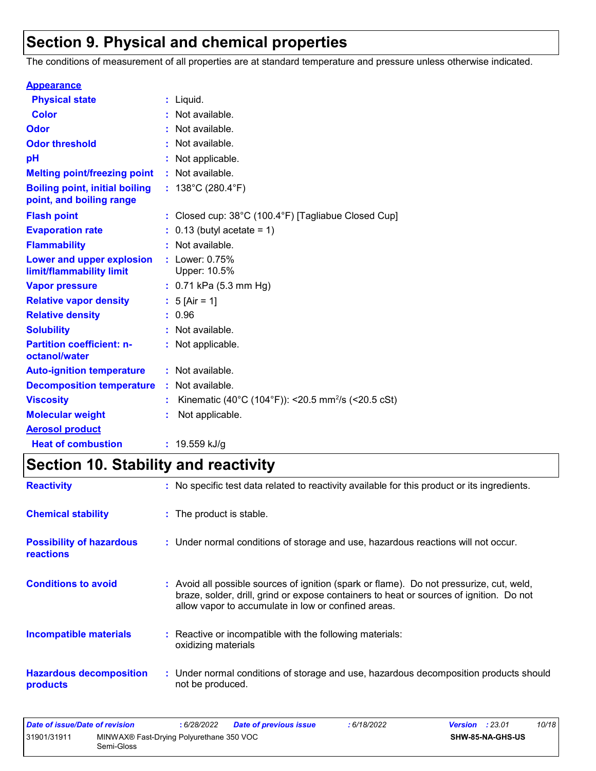### **Section 9. Physical and chemical properties**

The conditions of measurement of all properties are at standard temperature and pressure unless otherwise indicated.

| <b>Appearance</b>                                                 |                                                                          |
|-------------------------------------------------------------------|--------------------------------------------------------------------------|
| <b>Physical state</b>                                             | : Liquid.                                                                |
| <b>Color</b>                                                      | : Not available.                                                         |
| <b>Odor</b>                                                       | : Not available.                                                         |
| <b>Odor threshold</b>                                             | : Not available.                                                         |
| рH                                                                | : Not applicable.                                                        |
| <b>Melting point/freezing point</b>                               | : Not available.                                                         |
| <b>Boiling point, initial boiling</b><br>point, and boiling range | : $138^{\circ}$ C (280.4 $^{\circ}$ F)                                   |
| <b>Flash point</b>                                                | : Closed cup: $38^{\circ}$ C (100.4 $^{\circ}$ F) [Tagliabue Closed Cup] |
| <b>Evaporation rate</b>                                           | $0.13$ (butyl acetate = 1)                                               |
| <b>Flammability</b>                                               | : Not available.                                                         |
| Lower and upper explosion<br>limit/flammability limit             | : Lower: $0.75%$<br>Upper: 10.5%                                         |
| <b>Vapor pressure</b>                                             | $: 0.71$ kPa (5.3 mm Hg)                                                 |
| <b>Relative vapor density</b>                                     | : $5$ [Air = 1]                                                          |
| <b>Relative density</b>                                           | : 0.96                                                                   |
| <b>Solubility</b>                                                 | : Not available.                                                         |
| <b>Partition coefficient: n-</b><br>octanol/water                 | : Not applicable.                                                        |
| <b>Auto-ignition temperature</b>                                  | : Not available.                                                         |
| <b>Decomposition temperature</b>                                  | : Not available.                                                         |
| <b>Viscosity</b>                                                  | Kinematic (40°C (104°F)): <20.5 mm <sup>2</sup> /s (<20.5 cSt)           |
| <b>Molecular weight</b>                                           | Not applicable.                                                          |
| <b>Aerosol product</b>                                            |                                                                          |
| <b>Heat of combustion</b>                                         | : 19.559 kJ/g                                                            |

## **Section 10. Stability and reactivity**

| <b>Reactivity</b>                                   | : No specific test data related to reactivity available for this product or its ingredients.                                                                                                                                             |
|-----------------------------------------------------|------------------------------------------------------------------------------------------------------------------------------------------------------------------------------------------------------------------------------------------|
| <b>Chemical stability</b>                           | : The product is stable.                                                                                                                                                                                                                 |
| <b>Possibility of hazardous</b><br><b>reactions</b> | : Under normal conditions of storage and use, hazardous reactions will not occur.                                                                                                                                                        |
| <b>Conditions to avoid</b>                          | Avoid all possible sources of ignition (spark or flame). Do not pressurize, cut, weld,<br>braze, solder, drill, grind or expose containers to heat or sources of ignition. Do not<br>allow vapor to accumulate in low or confined areas. |
| <b>Incompatible materials</b>                       | Reactive or incompatible with the following materials:<br>oxidizing materials                                                                                                                                                            |
| <b>Hazardous decomposition</b><br>products          | : Under normal conditions of storage and use, hazardous decomposition products should<br>not be produced.                                                                                                                                |

| Date of issue/Date of revision |                                                        | 6/28/2022 | Date of previous issue | 6/18/2022 | <b>Version</b> : 23.01 |                  | 10/18 |
|--------------------------------|--------------------------------------------------------|-----------|------------------------|-----------|------------------------|------------------|-------|
| 31901/31911                    | MINWAX® Fast-Drying Polyurethane 350 VOC<br>Semi-Gloss |           |                        |           |                        | SHW-85-NA-GHS-US |       |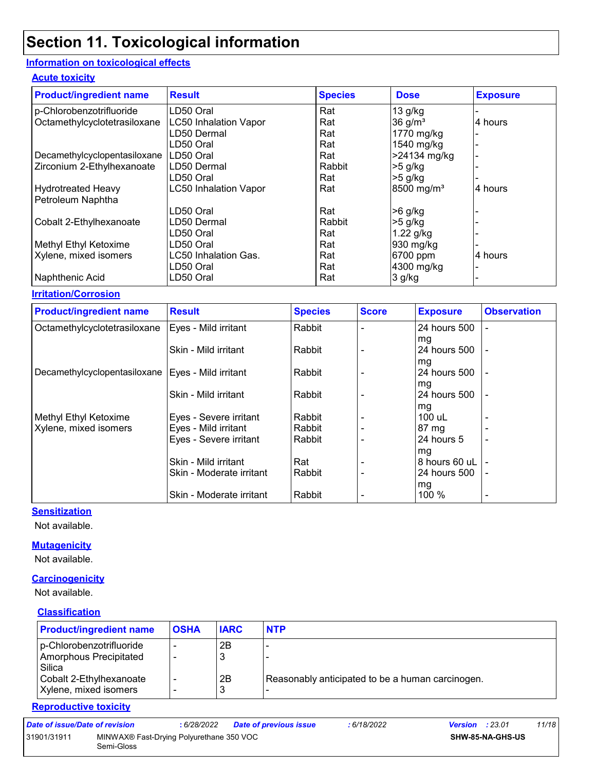#### **Information on toxicological effects**

#### **Acute toxicity**

| <b>Product/ingredient name</b> | <b>Result</b>                | <b>Species</b> | <b>Dose</b>            | <b>Exposure</b> |
|--------------------------------|------------------------------|----------------|------------------------|-----------------|
| p-Chlorobenzotrifluoride       | LD50 Oral                    | Rat            | $13$ g/kg              |                 |
| Octamethylcyclotetrasiloxane   | <b>LC50 Inhalation Vapor</b> | Rat            | $36$ g/m <sup>3</sup>  | 4 hours         |
|                                | LD50 Dermal                  | Rat            | 1770 mg/kg             |                 |
|                                | LD50 Oral                    | Rat            | 1540 mg/kg             |                 |
| Decamethylcyclopentasiloxane   | LD50 Oral                    | Rat            | >24134 mg/kg           |                 |
| Zirconium 2-Ethylhexanoate     | LD50 Dermal                  | Rabbit         | $>5$ g/kg              |                 |
|                                | LD50 Oral                    | Rat            | $>5$ g/kg              |                 |
| <b>Hydrotreated Heavy</b>      | <b>LC50 Inhalation Vapor</b> | Rat            | 8500 mg/m <sup>3</sup> | 4 hours         |
| Petroleum Naphtha              |                              |                |                        |                 |
|                                | LD50 Oral                    | Rat            | $>6$ g/kg              |                 |
| Cobalt 2-Ethylhexanoate        | LD50 Dermal                  | Rabbit         | $>5$ g/kg              |                 |
|                                | LD50 Oral                    | Rat            | $1.22$ g/kg            |                 |
| Methyl Ethyl Ketoxime          | LD50 Oral                    | Rat            | 930 mg/kg              |                 |
| Xylene, mixed isomers          | LC50 Inhalation Gas.         | Rat            | 6700 ppm               | 4 hours         |
|                                | LD50 Oral                    | Rat            | 4300 mg/kg             |                 |
| Naphthenic Acid                | LD50 Oral                    | Rat            | 3 g/kg                 |                 |

#### **Irritation/Corrosion**

| <b>Product/ingredient name</b>                      | <b>Result</b>                                  | <b>Species</b> | <b>Score</b> | <b>Exposure</b>    | <b>Observation</b>       |
|-----------------------------------------------------|------------------------------------------------|----------------|--------------|--------------------|--------------------------|
| Octamethylcyclotetrasiloxane                        | Eyes - Mild irritant                           | Rabbit         |              | 24 hours 500       |                          |
|                                                     | Skin - Mild irritant                           | Rabbit         |              | mg<br>24 hours 500 |                          |
|                                                     |                                                |                |              | mg                 |                          |
| Decamethylcyclopentasiloxane   Eyes - Mild irritant |                                                | Rabbit         |              | 24 hours 500       | ٠                        |
|                                                     |                                                |                |              | mg                 |                          |
|                                                     | Skin - Mild irritant                           | Rabbit         |              | 24 hours 500       |                          |
|                                                     |                                                | Rabbit         |              | mg<br>100 uL       |                          |
| Methyl Ethyl Ketoxime<br>Xylene, mixed isomers      | Eyes - Severe irritant<br>Eyes - Mild irritant | Rabbit         |              | 87 mg              |                          |
|                                                     | Eyes - Severe irritant                         | Rabbit         |              | 24 hours 5         |                          |
|                                                     |                                                |                |              | mg                 |                          |
|                                                     | Skin - Mild irritant                           | Rat            |              | 8 hours 60 uL      |                          |
|                                                     | Skin - Moderate irritant                       | Rabbit         |              | 24 hours 500       | $\overline{\phantom{a}}$ |
|                                                     |                                                |                |              | mg                 |                          |
|                                                     | Skin - Moderate irritant                       | Rabbit         |              | 100 %              |                          |

#### **Sensitization**

Not available.

#### **Mutagenicity**

Not available.

#### **Carcinogenicity**

Not available.

#### **Classification**

Semi-Gloss

| <b>OSHA</b> | <b>IARC</b> | <b>NTP</b>                                       |
|-------------|-------------|--------------------------------------------------|
| $\,$ $\,$   | 2B          |                                                  |
|             |             |                                                  |
|             |             |                                                  |
|             | 2B          | Reasonably anticipated to be a human carcinogen. |
|             | د           |                                                  |
|             |             |                                                  |

**SHW-85-NA-GHS-US**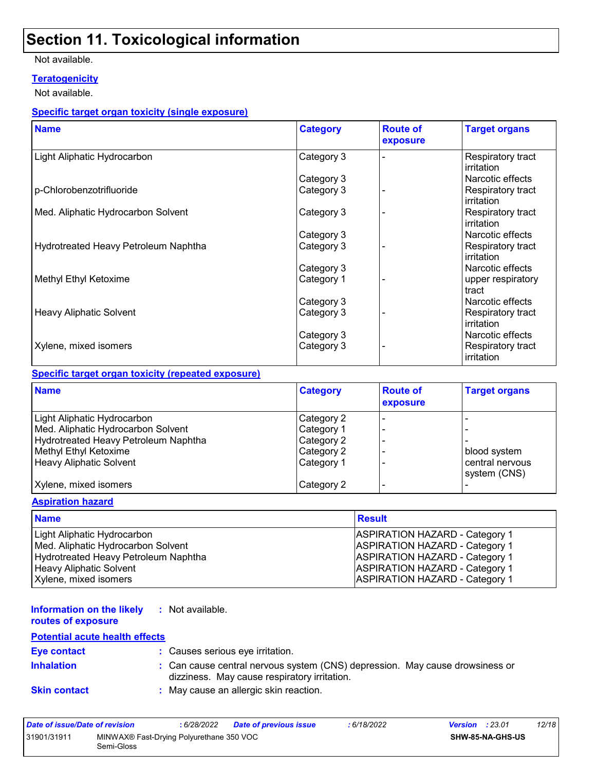#### Not available.

#### **Teratogenicity**

Not available.

#### **Specific target organ toxicity (single exposure)**

| <b>Name</b>                          | <b>Category</b> | <b>Route of</b><br>exposure | <b>Target organs</b>            |
|--------------------------------------|-----------------|-----------------------------|---------------------------------|
| Light Aliphatic Hydrocarbon          | Category 3      |                             | Respiratory tract<br>irritation |
|                                      | Category 3      |                             | Narcotic effects                |
| p-Chlorobenzotrifluoride             | Category 3      |                             | Respiratory tract<br>irritation |
| Med. Aliphatic Hydrocarbon Solvent   | Category 3      |                             | Respiratory tract<br>irritation |
|                                      | Category 3      |                             | Narcotic effects                |
| Hydrotreated Heavy Petroleum Naphtha | Category 3      |                             | Respiratory tract<br>irritation |
|                                      | Category 3      |                             | Narcotic effects                |
| Methyl Ethyl Ketoxime                | Category 1      |                             | upper respiratory<br>tract      |
|                                      | Category 3      |                             | Narcotic effects                |
| <b>Heavy Aliphatic Solvent</b>       | Category 3      |                             | Respiratory tract<br>irritation |
|                                      | Category 3      |                             | Narcotic effects                |
| Xylene, mixed isomers                | Category 3      |                             | Respiratory tract<br>irritation |

#### **Specific target organ toxicity (repeated exposure)**

| <b>Name</b>                          | <b>Category</b> | <b>Route of</b><br>exposure | <b>Target organs</b>            |
|--------------------------------------|-----------------|-----------------------------|---------------------------------|
| Light Aliphatic Hydrocarbon          | Category 2      |                             |                                 |
| Med. Aliphatic Hydrocarbon Solvent   | Category 1      |                             |                                 |
| Hydrotreated Heavy Petroleum Naphtha | Category 2      |                             |                                 |
| Methyl Ethyl Ketoxime                | Category 2      |                             | blood system                    |
| <b>Heavy Aliphatic Solvent</b>       | Category 1      |                             | central nervous<br>system (CNS) |
| Xylene, mixed isomers                | Category 2      |                             |                                 |

#### **Aspiration hazard**

| <b>Name</b>                          | Result                                |
|--------------------------------------|---------------------------------------|
| Light Aliphatic Hydrocarbon          | <b>ASPIRATION HAZARD - Category 1</b> |
| Med. Aliphatic Hydrocarbon Solvent   | <b>ASPIRATION HAZARD - Category 1</b> |
| Hydrotreated Heavy Petroleum Naphtha | <b>ASPIRATION HAZARD - Category 1</b> |
| Heavy Aliphatic Solvent              | <b>ASPIRATION HAZARD - Category 1</b> |
| Xylene, mixed isomers                | <b>ASPIRATION HAZARD - Category 1</b> |

#### **Information on the likely routes of exposure :** Not available.

### **Potential acute health effects**

| <b>Eye contact</b>  | : Causes serious eye irritation.                                                                                             |
|---------------------|------------------------------------------------------------------------------------------------------------------------------|
| <b>Inhalation</b>   | : Can cause central nervous system (CNS) depression. May cause drowsiness or<br>dizziness. May cause respiratory irritation. |
| <b>Skin contact</b> | : May cause an allergic skin reaction.                                                                                       |

| Date of issue/Date of revision |                                                        | : 6/28/2022 | <b>Date of previous issue</b> | : 6/18/2022 | <b>Version</b> : 23.01 |                         | 12/18 |
|--------------------------------|--------------------------------------------------------|-------------|-------------------------------|-------------|------------------------|-------------------------|-------|
| 31901/31911                    | MINWAX® Fast-Drying Polyurethane 350 VOC<br>Semi-Gloss |             |                               |             |                        | <b>SHW-85-NA-GHS-US</b> |       |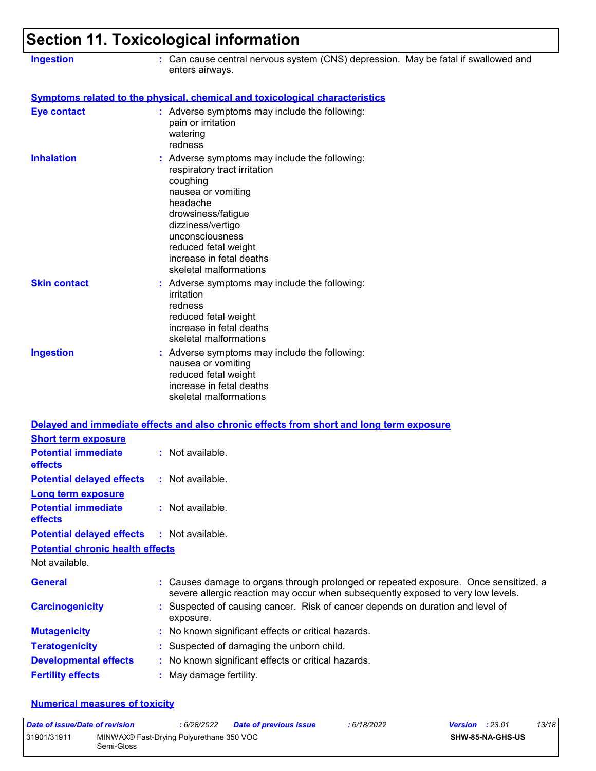| <b>Ingestion</b>                                              | : Can cause central nervous system (CNS) depression. May be fatal if swallowed and<br>enters airways.                                                                                                                                                                 |
|---------------------------------------------------------------|-----------------------------------------------------------------------------------------------------------------------------------------------------------------------------------------------------------------------------------------------------------------------|
|                                                               | <b>Symptoms related to the physical, chemical and toxicological characteristics</b>                                                                                                                                                                                   |
| <b>Eye contact</b>                                            | : Adverse symptoms may include the following:<br>pain or irritation<br>watering<br>redness                                                                                                                                                                            |
| <b>Inhalation</b>                                             | Adverse symptoms may include the following:<br>respiratory tract irritation<br>coughing<br>nausea or vomiting<br>headache<br>drowsiness/fatigue<br>dizziness/vertigo<br>unconsciousness<br>reduced fetal weight<br>increase in fetal deaths<br>skeletal malformations |
| <b>Skin contact</b>                                           | : Adverse symptoms may include the following:<br>irritation<br>redness<br>reduced fetal weight<br>increase in fetal deaths<br>skeletal malformations                                                                                                                  |
| <b>Ingestion</b>                                              | : Adverse symptoms may include the following:<br>nausea or vomiting<br>reduced fetal weight<br>increase in fetal deaths<br>skeletal malformations                                                                                                                     |
|                                                               | Delayed and immediate effects and also chronic effects from short and long term exposure                                                                                                                                                                              |
| <b>Short term exposure</b>                                    |                                                                                                                                                                                                                                                                       |
| <b>Potential immediate</b><br>effects                         | : Not available.                                                                                                                                                                                                                                                      |
| <b>Potential delayed effects</b><br><b>Long term exposure</b> | : Not available.                                                                                                                                                                                                                                                      |
| <b>Potential immediate</b><br>effects                         | : Not available.                                                                                                                                                                                                                                                      |
| <b>Potential delayed effects</b>                              | : Not available.                                                                                                                                                                                                                                                      |
| <b>Potential chronic health effects</b>                       |                                                                                                                                                                                                                                                                       |
| Not available.                                                |                                                                                                                                                                                                                                                                       |
| <b>General</b>                                                | Causes damage to organs through prolonged or repeated exposure. Once sensitized, a<br>severe allergic reaction may occur when subsequently exposed to very low levels.                                                                                                |
| <b>Carcinogenicity</b>                                        | Suspected of causing cancer. Risk of cancer depends on duration and level of<br>exposure.                                                                                                                                                                             |
| <b>Mutagenicity</b>                                           | No known significant effects or critical hazards.                                                                                                                                                                                                                     |
| <b>Teratogenicity</b>                                         | Suspected of damaging the unborn child.                                                                                                                                                                                                                               |
| <b>Developmental effects</b>                                  | No known significant effects or critical hazards.                                                                                                                                                                                                                     |
| <b>Fertility effects</b>                                      | May damage fertility.                                                                                                                                                                                                                                                 |

#### **Numerical measures of toxicity**

| Date of issue/Date of revision |                                                        | 6/28/2022 | <b>Date of previous issue</b> | : 6/18/2022 | <b>Version</b> : $23.01$ |                         | 13/18 |
|--------------------------------|--------------------------------------------------------|-----------|-------------------------------|-------------|--------------------------|-------------------------|-------|
| 31901/31911                    | MINWAX® Fast-Drying Polyurethane 350 VOC<br>Semi-Gloss |           |                               |             |                          | <b>SHW-85-NA-GHS-US</b> |       |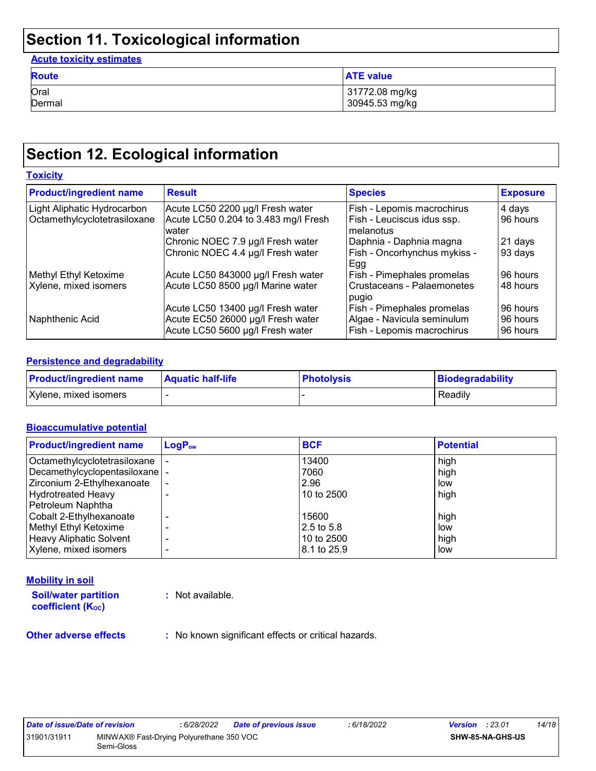#### **Acute toxicity estimates**

| <b>Route</b>   | <b>ATE value</b>                 |
|----------------|----------------------------------|
| Oral<br>Dermal | 31772.08 mg/kg<br>30945.53 mg/kg |
|                |                                  |

### **Section 12. Ecological information**

| <b>Toxicity</b>                                             |                                                                                                            |                                                                                        |                                  |  |  |
|-------------------------------------------------------------|------------------------------------------------------------------------------------------------------------|----------------------------------------------------------------------------------------|----------------------------------|--|--|
| <b>Product/ingredient name</b>                              | <b>Result</b>                                                                                              | <b>Species</b>                                                                         | <b>Exposure</b>                  |  |  |
| Light Aliphatic Hydrocarbon<br>Octamethylcyclotetrasiloxane | Acute LC50 2200 µg/l Fresh water<br>Acute LC50 0.204 to 3.483 mg/l Fresh<br>water                          | Fish - Lepomis macrochirus<br>Fish - Leuciscus idus ssp.<br>melanotus                  | 4 days<br>96 hours               |  |  |
|                                                             | Chronic NOEC 7.9 µg/l Fresh water<br>Chronic NOEC 4.4 µg/l Fresh water                                     | Daphnia - Daphnia magna<br>Fish - Oncorhynchus mykiss -<br>ı Egg                       | 21 days<br>93 days               |  |  |
| Methyl Ethyl Ketoxime<br>Xylene, mixed isomers              | Acute LC50 843000 µg/l Fresh water<br>Acute LC50 8500 µg/l Marine water                                    | Fish - Pimephales promelas<br>Crustaceans - Palaemonetes<br>pugio                      | 96 hours<br>48 hours             |  |  |
| Naphthenic Acid                                             | Acute LC50 13400 µg/l Fresh water<br>Acute EC50 26000 µg/l Fresh water<br>Acute LC50 5600 µg/l Fresh water | Fish - Pimephales promelas<br>Algae - Navicula seminulum<br>Fish - Lepomis macrochirus | 96 hours<br>96 hours<br>96 hours |  |  |

#### **Persistence and degradability**

| <b>Product/ingredient name</b> | <b>Aquatic half-life</b> | <b>Photolysis</b> | <b>Biodegradability</b> |
|--------------------------------|--------------------------|-------------------|-------------------------|
| Xylene, mixed isomers          |                          |                   | Readily                 |

#### **Bioaccumulative potential**

| <b>Product/ingredient name</b>   | $LogP_{ow}$ | <b>BCF</b>   | <b>Potential</b> |
|----------------------------------|-------------|--------------|------------------|
| Octamethylcyclotetrasiloxane     |             | 13400        | high             |
| Decamethylcyclopentasiloxane   - |             | 7060         | high             |
| Zirconium 2-Ethylhexanoate       |             | 2.96         | low              |
| Hydrotreated Heavy               |             | 10 to 2500   | high             |
| Petroleum Naphtha                |             |              |                  |
| Cobalt 2-Ethylhexanoate          |             | 15600        | high             |
| Methyl Ethyl Ketoxime            |             | $2.5$ to 5.8 | low              |
| <b>Heavy Aliphatic Solvent</b>   |             | 10 to 2500   | high             |
| Xylene, mixed isomers            |             | 8.1 to 25.9  | low              |

#### **Mobility in soil**

**Soil/water partition coefficient (Koc)** 

**:** Not available.

**Other adverse effects** : No known significant effects or critical hazards.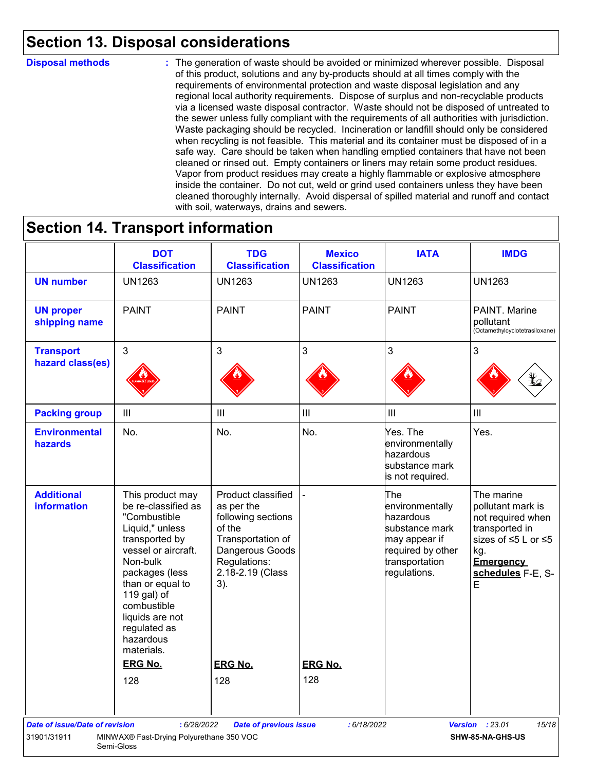### **Section 13. Disposal considerations**

#### **Disposal methods :**

The generation of waste should be avoided or minimized wherever possible. Disposal of this product, solutions and any by-products should at all times comply with the requirements of environmental protection and waste disposal legislation and any regional local authority requirements. Dispose of surplus and non-recyclable products via a licensed waste disposal contractor. Waste should not be disposed of untreated to the sewer unless fully compliant with the requirements of all authorities with jurisdiction. Waste packaging should be recycled. Incineration or landfill should only be considered when recycling is not feasible. This material and its container must be disposed of in a safe way. Care should be taken when handling emptied containers that have not been cleaned or rinsed out. Empty containers or liners may retain some product residues. Vapor from product residues may create a highly flammable or explosive atmosphere inside the container. Do not cut, weld or grind used containers unless they have been cleaned thoroughly internally. Avoid dispersal of spilled material and runoff and contact with soil, waterways, drains and sewers.

### **Section 14. Transport information**

|                                         | <b>DOT</b><br><b>Classification</b>                                                                                                                                                                                                                               | <b>TDG</b><br><b>Classification</b>                                                                                                                 | <b>Mexico</b><br><b>Classification</b> | <b>IATA</b>                                                                                                                   | <b>IMDG</b>                                                                                                                                        |
|-----------------------------------------|-------------------------------------------------------------------------------------------------------------------------------------------------------------------------------------------------------------------------------------------------------------------|-----------------------------------------------------------------------------------------------------------------------------------------------------|----------------------------------------|-------------------------------------------------------------------------------------------------------------------------------|----------------------------------------------------------------------------------------------------------------------------------------------------|
| <b>UN number</b>                        | <b>UN1263</b>                                                                                                                                                                                                                                                     | <b>UN1263</b>                                                                                                                                       | <b>UN1263</b>                          | <b>UN1263</b>                                                                                                                 | <b>UN1263</b>                                                                                                                                      |
| <b>UN proper</b><br>shipping name       | <b>PAINT</b>                                                                                                                                                                                                                                                      | <b>PAINT</b>                                                                                                                                        | <b>PAINT</b>                           | <b>PAINT</b>                                                                                                                  | PAINT. Marine<br>pollutant<br>(Octamethylcyclotetrasiloxane)                                                                                       |
| <b>Transport</b><br>hazard class(es)    | 3                                                                                                                                                                                                                                                                 | 3                                                                                                                                                   | 3                                      | 3                                                                                                                             | 3                                                                                                                                                  |
| <b>Packing group</b>                    | $\mathop{\rm III}$                                                                                                                                                                                                                                                | $\  \ $                                                                                                                                             | $\ensuremath{\mathsf{III}}\xspace$     | III                                                                                                                           | $\mathbf{III}$                                                                                                                                     |
| <b>Environmental</b><br>hazards         | No.                                                                                                                                                                                                                                                               | No.                                                                                                                                                 | No.                                    | Yes. The<br>environmentally<br>hazardous<br>substance mark<br>is not required.                                                | Yes.                                                                                                                                               |
| <b>Additional</b><br><b>information</b> | This product may<br>be re-classified as<br>"Combustible<br>Liquid," unless<br>transported by<br>vessel or aircraft.<br>Non-bulk<br>packages (less<br>than or equal to<br>119 gal) of<br>combustible<br>liquids are not<br>regulated as<br>hazardous<br>materials. | Product classified<br>as per the<br>following sections<br>of the<br>Transportation of<br>Dangerous Goods<br>Regulations:<br>2.18-2.19 (Class<br>3). |                                        | The<br>environmentally<br>hazardous<br>substance mark<br>may appear if<br>required by other<br>transportation<br>regulations. | The marine<br>pollutant mark is<br>not required when<br>transported in<br>sizes of ≤5 L or ≤5<br>kg.<br><b>Emergency</b><br>schedules F-E, S-<br>E |
|                                         | <b>ERG No.</b>                                                                                                                                                                                                                                                    | <b>ERG No.</b>                                                                                                                                      | <b>ERG No.</b>                         |                                                                                                                               |                                                                                                                                                    |
| <b>Date of issue/Date of revision</b>   | 128<br>: 6/28/2022                                                                                                                                                                                                                                                | 128<br><b>Date of previous issue</b>                                                                                                                | 128<br>: 6/18/2022                     |                                                                                                                               | <b>Version</b> : 23.01<br>15/18                                                                                                                    |
|                                         | MINWAX® Fast-Drying Polyurethane 350 VOC                                                                                                                                                                                                                          |                                                                                                                                                     |                                        |                                                                                                                               |                                                                                                                                                    |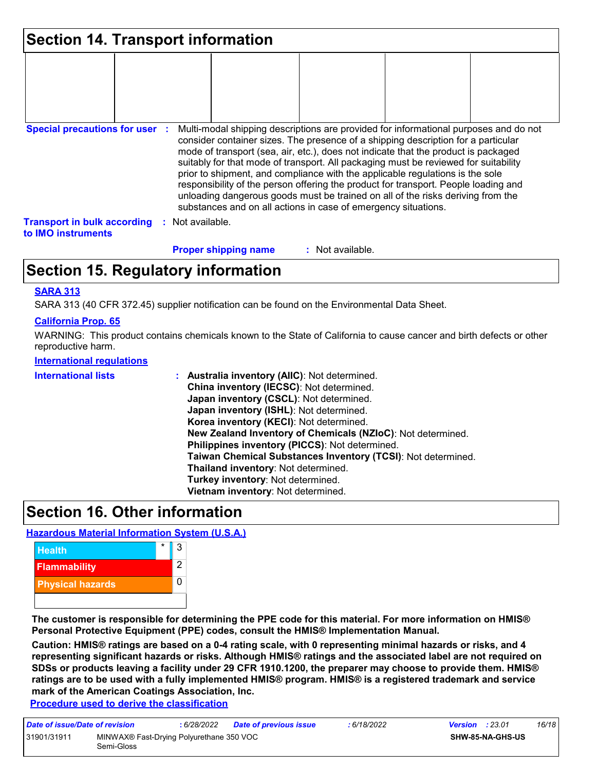| <b>Section 14. Transport information</b>                 |                  |                             |                                                                                                                                                                                                                                                                                                                                                                                                                                                                                                                                                                                                                                                                                     |  |  |
|----------------------------------------------------------|------------------|-----------------------------|-------------------------------------------------------------------------------------------------------------------------------------------------------------------------------------------------------------------------------------------------------------------------------------------------------------------------------------------------------------------------------------------------------------------------------------------------------------------------------------------------------------------------------------------------------------------------------------------------------------------------------------------------------------------------------------|--|--|
|                                                          |                  |                             |                                                                                                                                                                                                                                                                                                                                                                                                                                                                                                                                                                                                                                                                                     |  |  |
| <b>Special precautions for user :</b>                    |                  |                             | Multi-modal shipping descriptions are provided for informational purposes and do not<br>consider container sizes. The presence of a shipping description for a particular<br>mode of transport (sea, air, etc.), does not indicate that the product is packaged<br>suitably for that mode of transport. All packaging must be reviewed for suitability<br>prior to shipment, and compliance with the applicable regulations is the sole<br>responsibility of the person offering the product for transport. People loading and<br>unloading dangerous goods must be trained on all of the risks deriving from the<br>substances and on all actions in case of emergency situations. |  |  |
| <b>Transport in bulk according</b><br>to IMO instruments | : Not available. |                             |                                                                                                                                                                                                                                                                                                                                                                                                                                                                                                                                                                                                                                                                                     |  |  |
|                                                          |                  | <b>Proper shipping name</b> | : Not available.                                                                                                                                                                                                                                                                                                                                                                                                                                                                                                                                                                                                                                                                    |  |  |

### **Section 15. Regulatory information**

#### **SARA 313**

SARA 313 (40 CFR 372.45) supplier notification can be found on the Environmental Data Sheet.

#### **California Prop. 65**

WARNING: This product contains chemicals known to the State of California to cause cancer and birth defects or other reproductive harm.

#### **International regulations**

| China inventory (IECSC): Not determined.<br>Japan inventory (CSCL): Not determined.<br>Japan inventory (ISHL): Not determined.<br>Korea inventory (KECI): Not determined.<br>New Zealand Inventory of Chemicals (NZIoC): Not determined.<br>Philippines inventory (PICCS): Not determined.<br>Taiwan Chemical Substances Inventory (TCSI): Not determined.<br>Thailand inventory: Not determined.<br>Turkey inventory: Not determined.<br>Vietnam inventory: Not determined. |  |
|------------------------------------------------------------------------------------------------------------------------------------------------------------------------------------------------------------------------------------------------------------------------------------------------------------------------------------------------------------------------------------------------------------------------------------------------------------------------------|--|
|------------------------------------------------------------------------------------------------------------------------------------------------------------------------------------------------------------------------------------------------------------------------------------------------------------------------------------------------------------------------------------------------------------------------------------------------------------------------------|--|

### **Section 16. Other information**

#### **Hazardous Material Information System (U.S.A.)**



**The customer is responsible for determining the PPE code for this material. For more information on HMIS® Personal Protective Equipment (PPE) codes, consult the HMIS® Implementation Manual.**

**Caution: HMIS® ratings are based on a 0-4 rating scale, with 0 representing minimal hazards or risks, and 4 representing significant hazards or risks. Although HMIS® ratings and the associated label are not required on SDSs or products leaving a facility under 29 CFR 1910.1200, the preparer may choose to provide them. HMIS® ratings are to be used with a fully implemented HMIS® program. HMIS® is a registered trademark and service mark of the American Coatings Association, Inc.**

**Procedure used to derive the classification**

| Date of issue/Date of revision |                                                        | : 6/28/2022 | <b>Date of previous issue</b> | : 6/18/2022 | <b>Version</b> : $23.01$ |                         | 16/18 |
|--------------------------------|--------------------------------------------------------|-------------|-------------------------------|-------------|--------------------------|-------------------------|-------|
| 31901/31911                    | MINWAX® Fast-Drying Polyurethane 350 VOC<br>Semi-Gloss |             |                               |             |                          | <b>SHW-85-NA-GHS-US</b> |       |